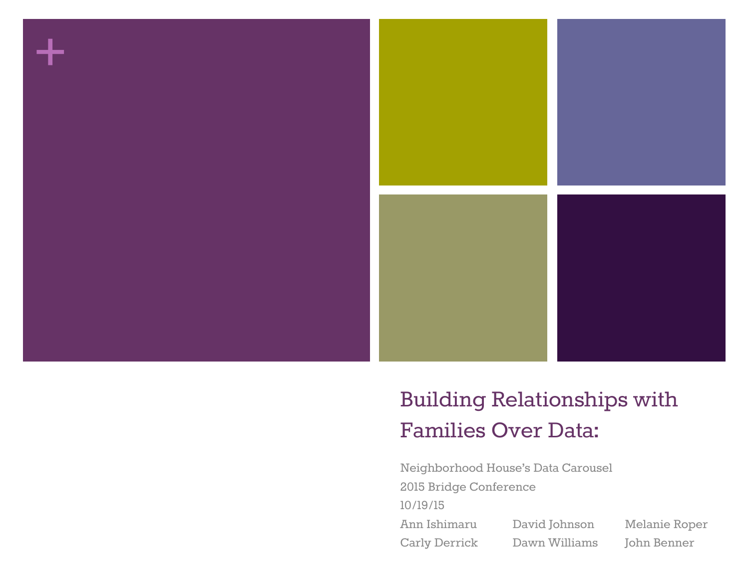

## Building Relationships with Families Over Data:

Neighborhood House's Data Carousel 2015 Bridge Conference 10/19/15 Ann Ishimaru David Johnson Melanie Roper Carly Derrick Dawn Williams John Benner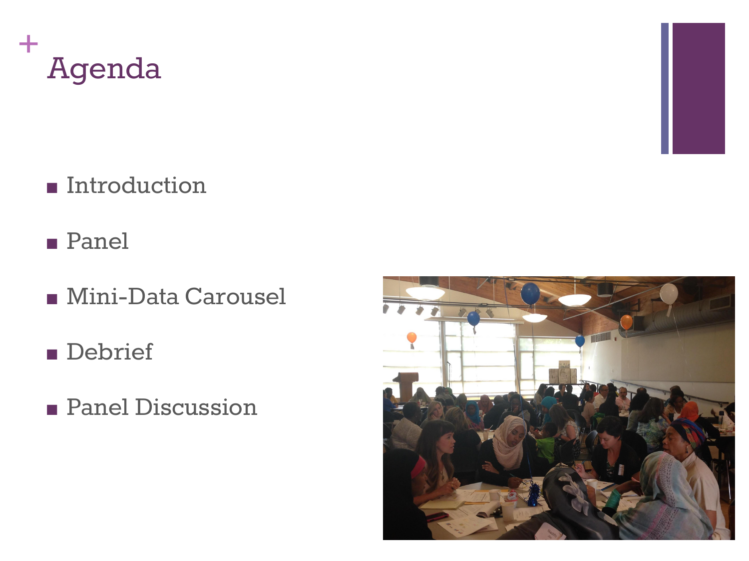

- Introduction
- Panel
- Mini-Data Carousel
- Debrief
- Panel Discussion

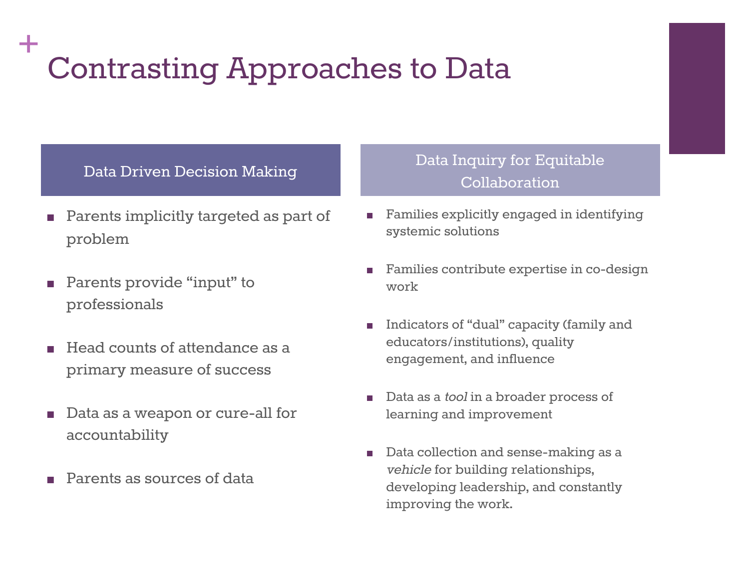## **+** Contrasting Approaches to Data

### Data Driven Decision Making

- Parents implicitly targeted as part of problem
- Parents provide "input" to professionals
- Head counts of attendance as a primary measure of success
- Data as a weapon or cure-all for accountability
- Parents as sources of data

### Data Inquiry for Equitable Collaboration

- Families explicitly engaged in identifying systemic solutions
- Families contribute expertise in co-design work
- Indicators of "dual" capacity (family and educators/institutions), quality engagement, and influence
- Data as a *tool* in a broader process of learning and improvement
- Data collection and sense-making as a vehicle for building relationships, developing leadership, and constantly improving the work.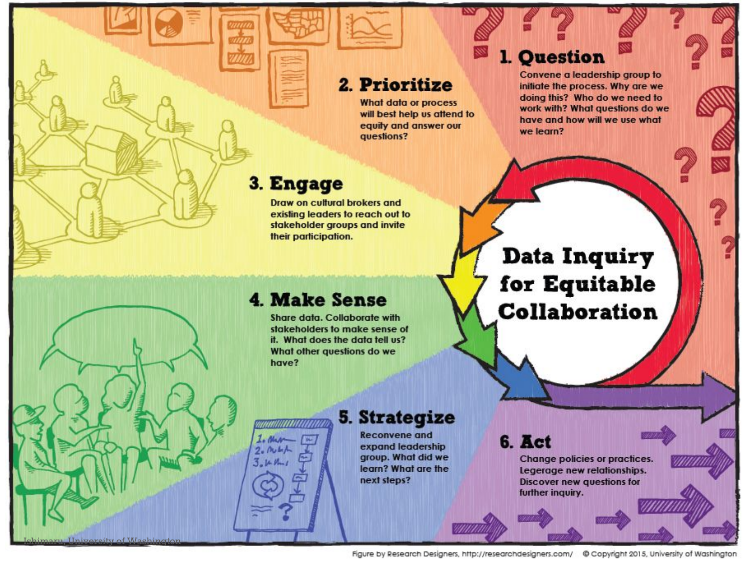### 2. Prioritize

**What data or process** will best help us attend to equity and answer our questions?

## 3. Engage

**+**

Ishimaru, University of Washington

Draw on cultural brokers and existing leaders to reach out to stakeholder groups and invite their participation.

### 1. Question

Convene a leadership group to initiate the process. Why are we doing this? Who do we need to work with? What questions do we have and how will we use what we learn?

### **4. Make Sense**

aannannanna

I. Mur

 $2.004A$ 

 $3.1411$ 

Share data, Collaborate with stakeholders to make sense of it. What does the data tell us? What other questions do we have?

## Data Inquiry for Equitable Collaboration

### **5. Strategize**

**Reconvene and** expand leadership group. What did we learn? What are the next steps?

## 6. Act

Change policies or practices. Legerage new relationships. **Discover new questions for** further inquiry.

Figure by Research Designers, http://researchdesigners.com/ @ Copyright 2015, University of Washington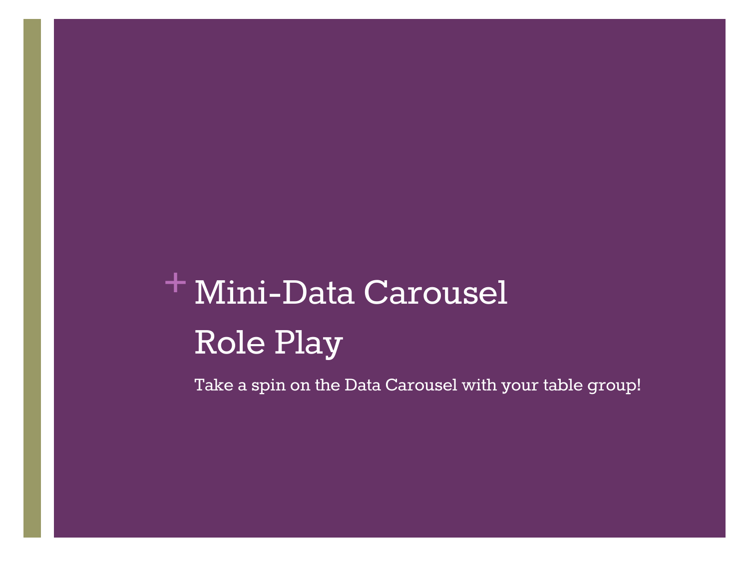# **+** Mini-Data Carousel Role Play

Take a spin on the Data Carousel with your table group!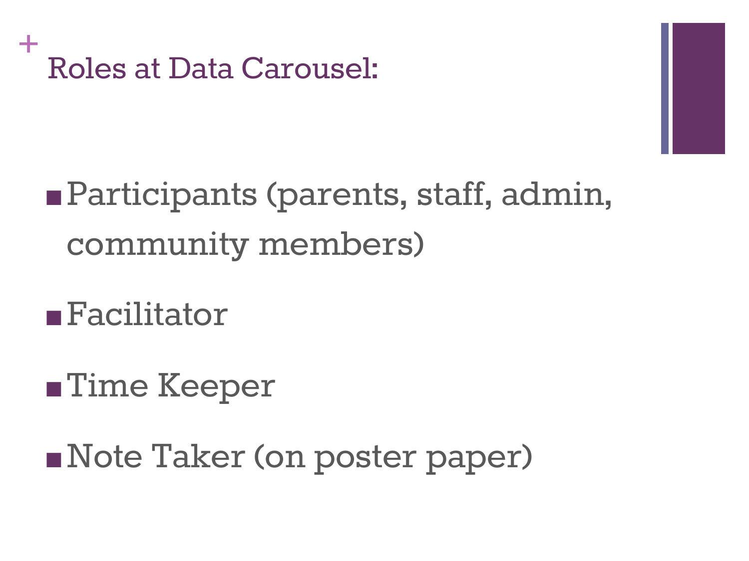

# ■ Participants (parents, staff, admin, community members)

# ■Facilitator

# ■Time Keeper

■Note Taker (on poster paper)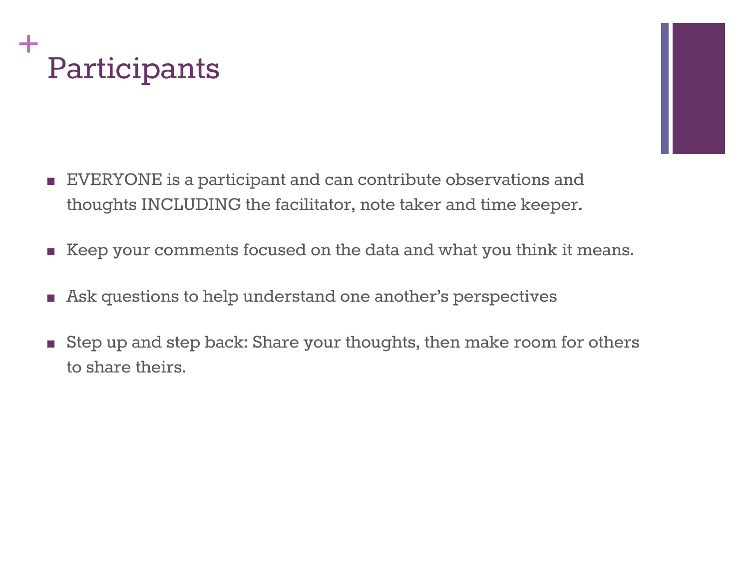



- EVERYONE is a participant and can contribute observations and thoughts INCLUDING the facilitator, note taker and time keeper.
- Keep your comments focused on the data and what you think it means.
- Ask questions to help understand one another's perspectives
- Step up and step back: Share your thoughts, then make room for others to share theirs.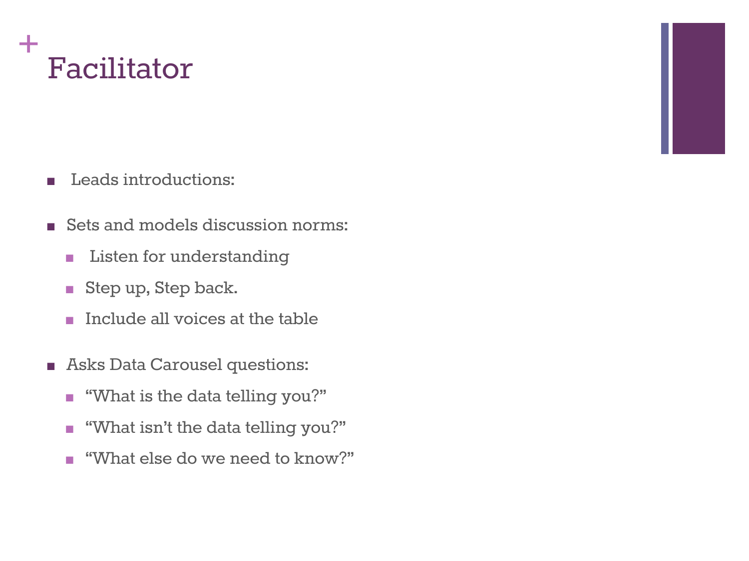

- Leads introductions:
- Sets and models discussion norms:
	- Listen for understanding
	- Step up, Step back.
	- Include all voices at the table
- Asks Data Carousel questions:
	- "What is the data telling you?"
	- "What isn't the data telling you?"
	- "What else do we need to know?"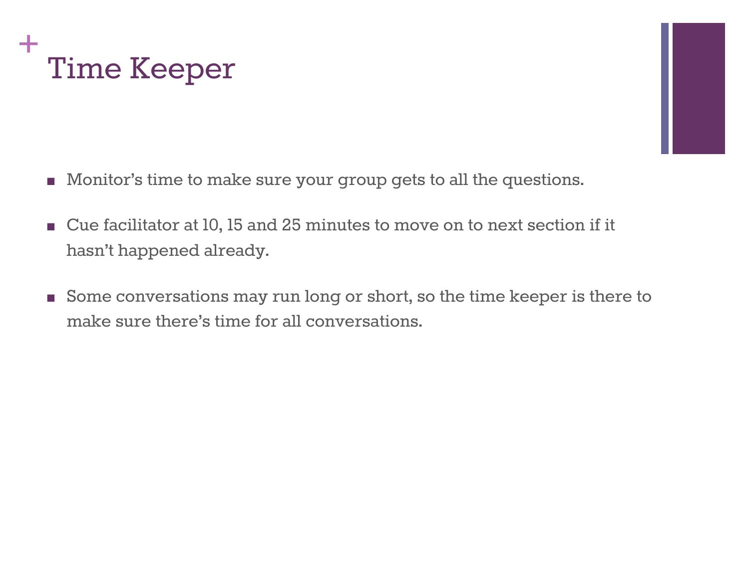



- Monitor's time to make sure your group gets to all the questions.
- Cue facilitator at 10, 15 and 25 minutes to move on to next section if it hasn't happened already.
- Some conversations may run long or short, so the time keeper is there to make sure there's time for all conversations.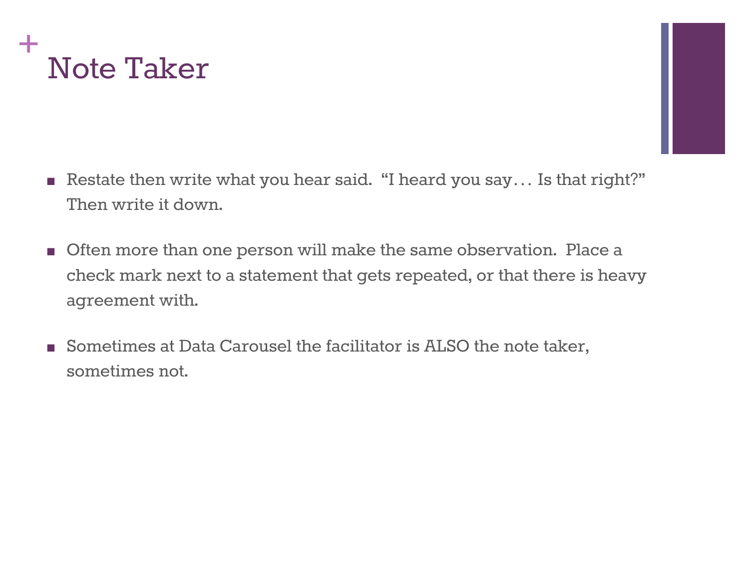

- 
- Restate then write what you hear said. "I heard you say... Is that right?" Then write it down.
- Often more than one person will make the same observation. Place a check mark next to a statement that gets repeated, or that there is heavy agreement with.
- Sometimes at Data Carousel the facilitator is ALSO the note taker, sometimes not.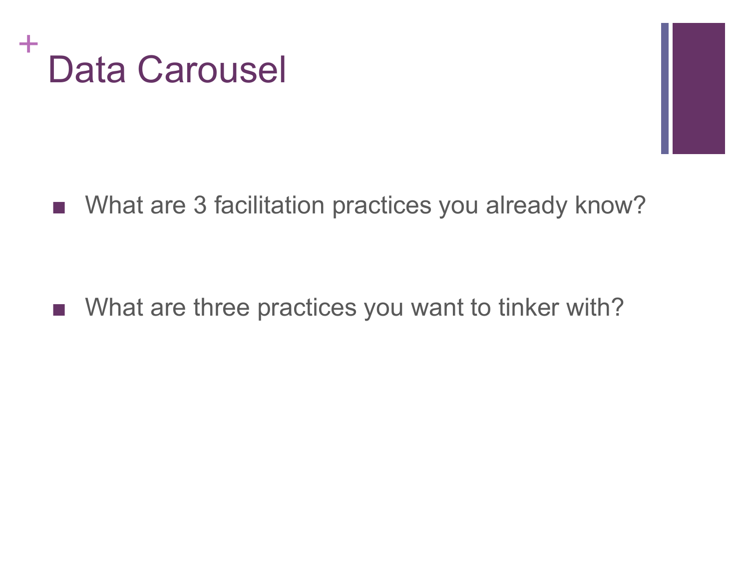



■ What are 3 facilitation practices you already know?

■ What are three practices you want to tinker with?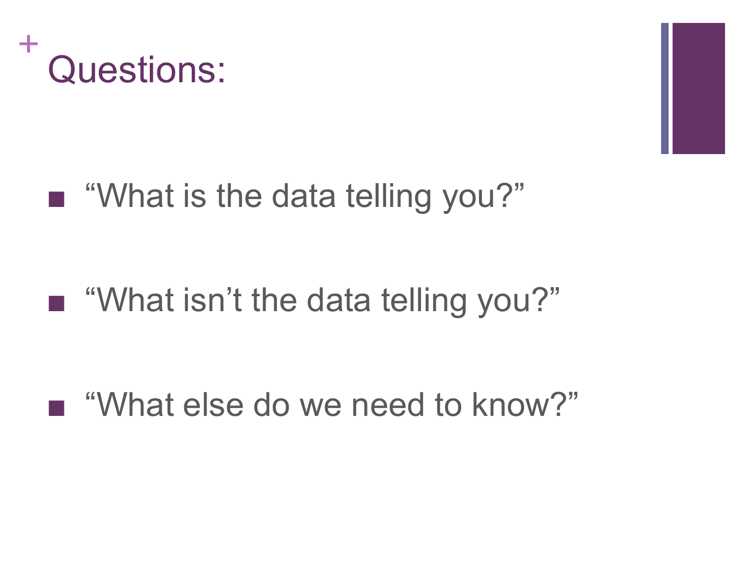



## ■ "What is the data telling you?"

# ■ "What isn't the data telling you?"

## ■ "What else do we need to know?"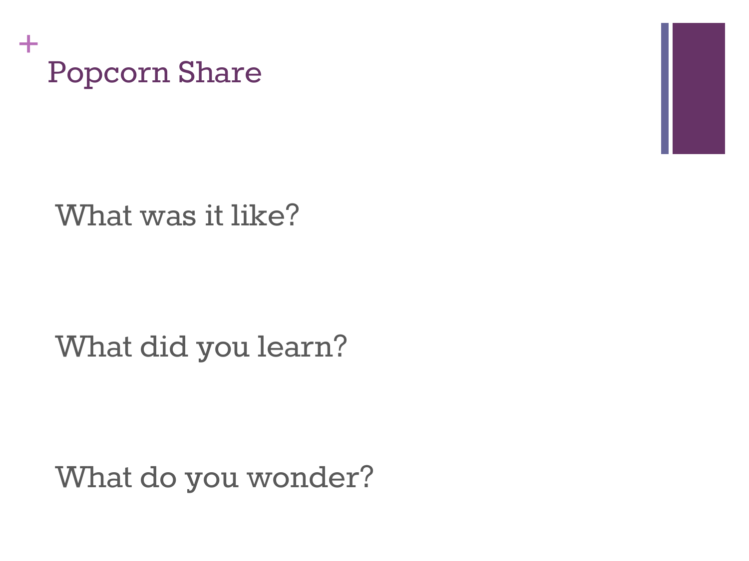

## What was it like?

## What did you learn?

What do you wonder?